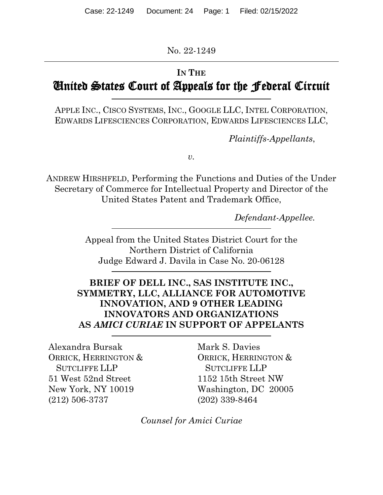No. 22-1249

# **IN THE**

# United States Court of Appeals for the Federal Circuit

APPLE INC., CISCO SYSTEMS, INC., GOOGLE LLC, INTEL CORPORATION, EDWARDS LIFESCIENCES CORPORATION, EDWARDS LIFESCIENCES LLC,

*Plaintiffs-Appellants*,

*v.*

ANDREW HIRSHFELD, Performing the Functions and Duties of the Under Secretary of Commerce for Intellectual Property and Director of the United States Patent and Trademark Office,

*Defendant-Appellee.*

Appeal from the United States District Court for the Northern District of California Judge Edward J. Davila in Case No. 20-06128

# **BRIEF OF DELL INC., SAS INSTITUTE INC., SYMMETRY, LLC, ALLIANCE FOR AUTOMOTIVE INNOVATION, AND 9 OTHER LEADING INNOVATORS AND ORGANIZATIONS AS** *AMICI CURIAE* **IN SUPPORT OF APPELANTS**

Alexandra Bursak ORRICK, HERRINGTON & SUTCLIFFE LLP 51 West 52nd Street New York, NY 10019 (212) 506-3737

Mark S. Davies ORRICK, HERRINGTON & SUTCLIFFE LLP 1152 15th Street NW Washington, DC 20005 (202) 339-8464

*Counsel for Amici Curiae*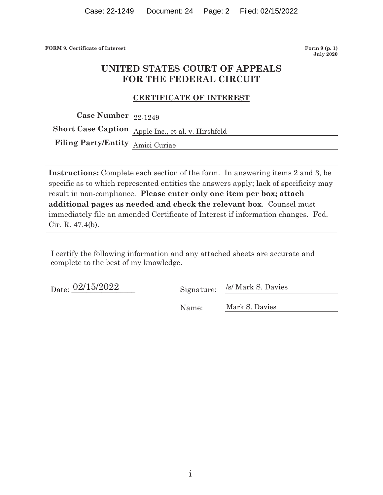**FORM 9. Certificate of Interest Form 9 (p. 1) Form 9 (p. 1)** 

**July 2020** 

# **UNITED STATES COURT OF APPEALS FOR THE FEDERAL CIRCUIT**

#### **CERTIFICATE OF INTEREST**

**Case Number**  22-1249

**Short Case Caption**  Apple Inc., et al. v. Hirshfeld

**Filing Party/Entity**  Amici Curiae

**Instructions:** Complete each section of the form. In answering items 2 and 3, be specific as to which represented entities the answers apply; lack of specificity may result in non-compliance. **Please enter only one item per box; attach additional pages as needed and check the relevant box**. Counsel must immediately file an amended Certificate of Interest if information changes. Fed. Cir. R. 47.4(b).

I certify the following information and any attached sheets are accurate and complete to the best of my knowledge.

 $\frac{1}{2}$ Date:  $\frac{02/15/2022}{2}$  Signature: /s/ Mark S. Davies

Name: Mark S. Davies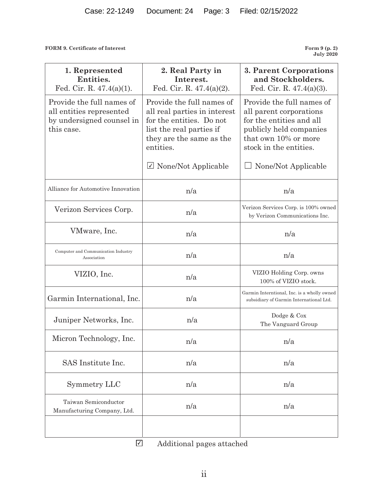**FORM 9. Certificate of Interest** 

**July 2020** 

| 1. Represented<br>Entities.<br>Fed. Cir. R. $47.4(a)(1)$ .                                       | 2. Real Party in<br>Interest.<br>Fed. Cir. R. 47.4(a)(2).                                                                                                  | 3. Parent Corporations<br>and Stockholders.<br>Fed. Cir. R. $47.4(a)(3)$ .                                                                                    |
|--------------------------------------------------------------------------------------------------|------------------------------------------------------------------------------------------------------------------------------------------------------------|---------------------------------------------------------------------------------------------------------------------------------------------------------------|
| Provide the full names of<br>all entities represented<br>by undersigned counsel in<br>this case. | Provide the full names of<br>all real parties in interest<br>for the entities. Do not<br>list the real parties if<br>they are the same as the<br>entities. | Provide the full names of<br>all parent corporations<br>for the entities and all<br>publicly held companies<br>that own 10% or more<br>stock in the entities. |
|                                                                                                  | $\triangledown$ None/Not Applicable                                                                                                                        | None/Not Applicable                                                                                                                                           |
| Alliance for Automotive Innovation                                                               | n/a                                                                                                                                                        | n/a                                                                                                                                                           |
| Verizon Services Corp.                                                                           | n/a                                                                                                                                                        | Verizon Services Corp. is 100% owned<br>by Verizon Communications Inc.                                                                                        |
| VMware, Inc.                                                                                     | n/a                                                                                                                                                        | n/a                                                                                                                                                           |
| Computer and Communication Industry<br>Association                                               | n/a                                                                                                                                                        | n/a                                                                                                                                                           |
| VIZIO, Inc.                                                                                      | n/a                                                                                                                                                        | VIZIO Holding Corp. owns<br>100% of VIZIO stock.                                                                                                              |
| Garmin International, Inc.                                                                       | n/a                                                                                                                                                        | Garmin Interntional, Inc. is a wholly owned<br>subsidiary of Garmin International Ltd.                                                                        |
| Juniper Networks, Inc.                                                                           | n/a                                                                                                                                                        | Dodge & Cox<br>The Vanguard Group                                                                                                                             |
| Micron Technology, Inc.                                                                          | n/a                                                                                                                                                        | n/a                                                                                                                                                           |
| SAS Institute Inc.                                                                               | n/a                                                                                                                                                        | n/a                                                                                                                                                           |
| Symmetry LLC                                                                                     | n/a                                                                                                                                                        | n/a                                                                                                                                                           |
| Taiwan Semiconductor<br>Manufacturing Company, Ltd.                                              | n/a                                                                                                                                                        | n/a                                                                                                                                                           |
| ☑                                                                                                | Additional pages attached                                                                                                                                  |                                                                                                                                                               |

Additional pages attached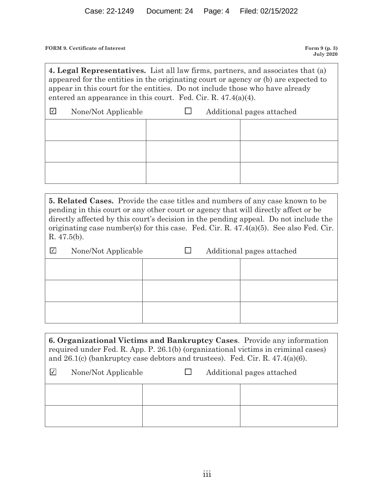**FORM 9. Certificate of Interest Form 9 (p. 3) Form 9 (p. 3)** 

**July 2020** 

**4. Legal Representatives.** List all law firms, partners, and associates that (a) appeared for the entities in the originating court or agency or (b) are expected to appear in this court for the entities. Do not include those who have already entered an appearance in this court. Fed. Cir. R. 47.4(a)(4).

| $\vert \sqrt{\vert}$ | None/Not Applicable | Additional pages attached<br>$\mathbf{I}$ |  |  |
|----------------------|---------------------|-------------------------------------------|--|--|
|                      |                     |                                           |  |  |
|                      |                     |                                           |  |  |
|                      |                     |                                           |  |  |
|                      |                     |                                           |  |  |
|                      |                     |                                           |  |  |

**5. Related Cases.** Provide the case titles and numbers of any case known to be pending in this court or any other court or agency that will directly affect or be directly affected by this court's decision in the pending appeal. Do not include the originating case number(s) for this case. Fed. Cir. R. 47.4(a)(5). See also Fed. Cir. R. 47.5(b).

| I√I | None/Not Applicable |  | Additional pages attached |
|-----|---------------------|--|---------------------------|
|     |                     |  |                           |
|     |                     |  |                           |
|     |                     |  |                           |
|     |                     |  |                           |
|     |                     |  |                           |
|     |                     |  |                           |

**6. Organizational Victims and Bankruptcy Cases**. Provide any information required under Fed. R. App. P. 26.1(b) (organizational victims in criminal cases) and 26.1(c) (bankruptcy case debtors and trustees). Fed. Cir. R. 47.4(a)(6).

| $\mathsf{V}$ | None/Not Applicable | $\mathbf{1}$ | Additional pages attached |  |
|--------------|---------------------|--------------|---------------------------|--|
|              |                     |              |                           |  |
|              |                     |              |                           |  |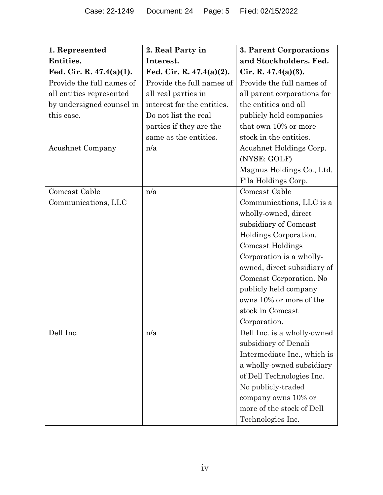| 1. Represented              | 2. Real Party in            | 3. Parent Corporations      |
|-----------------------------|-----------------------------|-----------------------------|
| Entities.                   | Interest.                   | and Stockholders. Fed.      |
| Fed. Cir. R. $47.4(a)(1)$ . | Fed. Cir. R. $47.4(a)(2)$ . | Cir. R. $47.4(a)(3)$ .      |
| Provide the full names of   | Provide the full names of   | Provide the full names of   |
| all entities represented    | all real parties in         | all parent corporations for |
| by undersigned counsel in   | interest for the entities.  | the entities and all        |
| this case.                  | Do not list the real        | publicly held companies     |
|                             | parties if they are the     | that own 10% or more        |
|                             | same as the entities.       | stock in the entities.      |
| <b>Acushnet Company</b>     | n/a                         | Acushnet Holdings Corp.     |
|                             |                             | (NYSE: GOLF)                |
|                             |                             | Magnus Holdings Co., Ltd.   |
|                             |                             | Fila Holdings Corp.         |
| Comcast Cable               | n/a                         | Comcast Cable               |
| Communications, LLC         |                             | Communications, LLC is a    |
|                             |                             | wholly-owned, direct        |
|                             |                             | subsidiary of Comcast       |
|                             |                             | Holdings Corporation.       |
|                             |                             | <b>Comcast Holdings</b>     |
|                             |                             | Corporation is a wholly-    |
|                             |                             | owned, direct subsidiary of |
|                             |                             | Comcast Corporation. No     |
|                             |                             | publicly held company       |
|                             |                             | owns 10% or more of the     |
|                             |                             | stock in Comcast            |
|                             |                             | Corporation.                |
| Dell Inc.                   | n/a                         | Dell Inc. is a wholly-owned |
|                             |                             | subsidiary of Denali        |
|                             |                             | Intermediate Inc., which is |
|                             |                             | a wholly-owned subsidiary   |
|                             |                             | of Dell Technologies Inc.   |
|                             |                             | No publicly-traded          |
|                             |                             | company owns 10% or         |
|                             |                             | more of the stock of Dell   |
|                             |                             | Technologies Inc.           |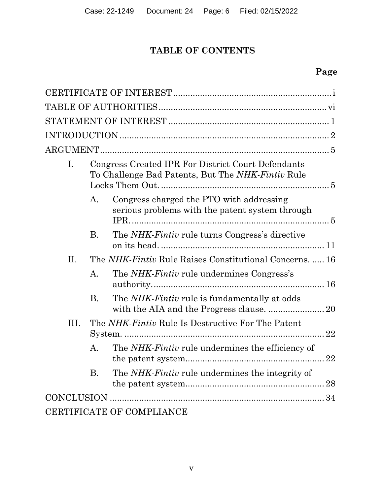# **TABLE OF CONTENTS**

# **Page**

| I.   |                | Congress Created IPR For District Court Defendants<br>To Challenge Bad Patents, But The NHK-Fintiv Rule |
|------|----------------|---------------------------------------------------------------------------------------------------------|
|      | А.             | Congress charged the PTO with addressing<br>serious problems with the patent system through             |
|      | <b>B.</b>      | The <i>NHK-Fintiv</i> rule turns Congress's directive                                                   |
| П.   |                | The NHK-Fintiv Rule Raises Constitutional Concerns.  16                                                 |
|      | A.             | The NHK-Fintiv rule undermines Congress's                                                               |
|      | <b>B.</b>      | The <i>NHK-Fintiv</i> rule is fundamentally at odds<br>with the AIA and the Progress clause.  20        |
| III. |                | The NHK-Fintiv Rule Is Destructive For The Patent<br>22                                                 |
|      | $\mathsf{A}$ . | The NHK-Fintiv rule undermines the efficiency of                                                        |
|      | Β.             | The <i>NHK-Fintiv</i> rule undermines the integrity of<br>28                                            |
|      |                |                                                                                                         |
|      |                | CERTIFICATE OF COMPLIANCE                                                                               |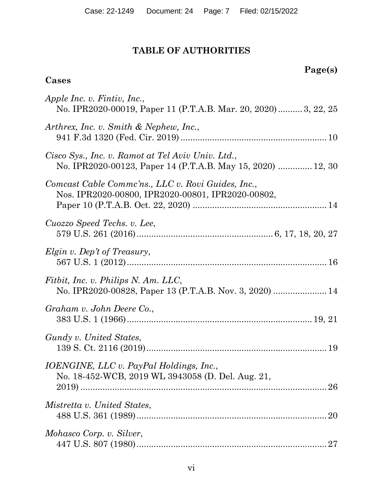# **TABLE OF AUTHORITIES**

# **Page(s)**

# <span id="page-6-0"></span>**Cases**

| Apple Inc. v. Fintiv, Inc.,<br>No. IPR2020-00019, Paper 11 (P.T.A.B. Mar. 20, 2020) 3, 22, 25                    |
|------------------------------------------------------------------------------------------------------------------|
| Arthrex, Inc. v. Smith & Nephew, Inc.,                                                                           |
| Cisco Sys., Inc. v. Ramot at Tel Aviv Univ. Ltd.,<br>No. IPR2020-00123, Paper 14 (P.T.A.B. May 15, 2020)  12, 30 |
| Comcast Cable Commc'ns., LLC v. Rovi Guides, Inc.,<br>Nos. IPR2020-00800, IPR2020-00801, IPR2020-00802,          |
| Cuozzo Speed Techs. v. Lee,                                                                                      |
| Elgin v. Dep't of Treasury,                                                                                      |
| Fitbit, Inc. v. Philips N. Am. LLC,<br>No. IPR2020-00828, Paper 13 (P.T.A.B. Nov. 3, 2020)  14                   |
| Graham v. John Deere Co.,                                                                                        |
| Gundy v. United States,                                                                                          |
| <i>IOENGINE, LLC v. PayPal Holdings, Inc.,</i><br>No. 18-452-WCB, 2019 WL 3943058 (D. Del. Aug. 21,              |
| Mistretta v. United States,                                                                                      |
| Mohasco Corp. v. Silver,                                                                                         |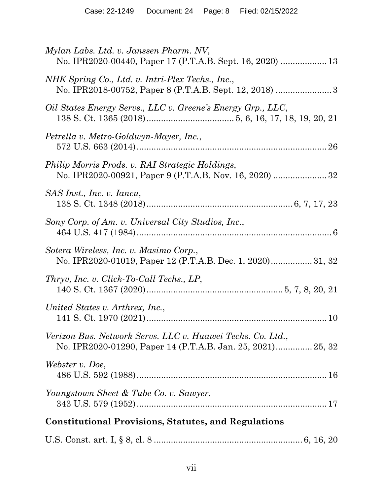| Mylan Labs. Ltd. v. Janssen Pharm. NV,<br>No. IPR2020-00440, Paper 17 (P.T.A.B. Sept. 16, 2020)  13                       |
|---------------------------------------------------------------------------------------------------------------------------|
| NHK Spring Co., Ltd. v. Intri-Plex Techs., Inc.,                                                                          |
| Oil States Energy Servs., LLC v. Greene's Energy Grp., LLC,                                                               |
| Petrella v. Metro-Goldwyn-Mayer, Inc.,                                                                                    |
| Philip Morris Prods. v. RAI Strategic Holdings,                                                                           |
| SAS Inst., Inc. v. Iancu,                                                                                                 |
| Sony Corp. of Am. v. Universal City Studios, Inc.,                                                                        |
| Sotera Wireless, Inc. v. Masimo Corp.,<br>No. IPR2020-01019, Paper 12 (P.T.A.B. Dec. 1, 2020) 31, 32                      |
| Thryv, Inc. v. Click-To-Call Techs., LP,                                                                                  |
| United States v. Arthrex, Inc.,                                                                                           |
| Verizon Bus. Network Servs. LLC v. Huawei Techs. Co. Ltd.,<br>No. IPR2020-01290, Paper 14 (P.T.A.B. Jan. 25, 2021) 25, 32 |
| Webster v. Doe,                                                                                                           |
| Youngstown Sheet & Tube Co. v. Sawyer,                                                                                    |
| <b>Constitutional Provisions, Statutes, and Regulations</b>                                                               |
|                                                                                                                           |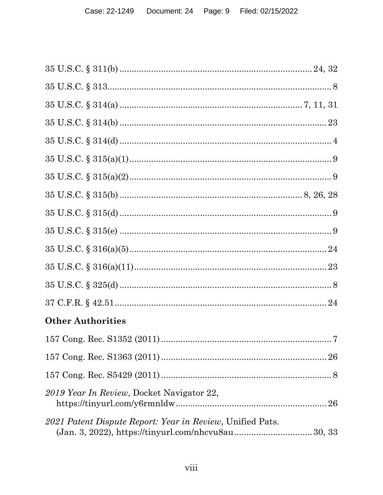| <b>Other Authorities</b>                                  |
|-----------------------------------------------------------|
| 157 Cong. Rec. S1352 (2011)<br>$\ldots 7$                 |
|                                                           |
|                                                           |
| 2019 Year In Review, Docket Navigator 22,                 |
| 2021 Patent Dispute Report: Year in Review, Unified Pats. |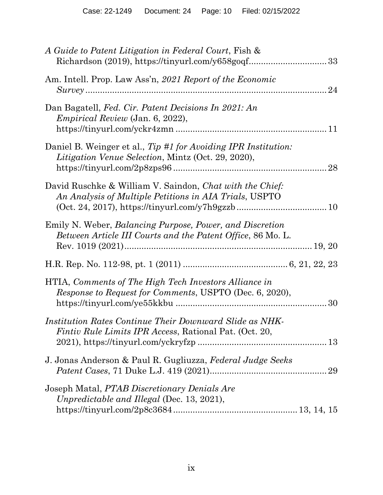| A Guide to Patent Litigation in Federal Court, Fish &                                                                                                                                                                            |  |
|----------------------------------------------------------------------------------------------------------------------------------------------------------------------------------------------------------------------------------|--|
| Am. Intell. Prop. Law Ass'n, 2021 Report of the Economic                                                                                                                                                                         |  |
| Dan Bagatell, Fed. Cir. Patent Decisions In 2021: An<br><i>Empirical Review</i> (Jan. 6, 2022),                                                                                                                                  |  |
| Daniel B. Weinger et al., Tip #1 for Avoiding IPR Institution:<br>Litigation Venue Selection, Mintz (Oct. 29, 2020),                                                                                                             |  |
| David Ruschke & William V. Saindon, Chat with the Chief:<br>An Analysis of Multiple Petitions in AIA Trials, USPTO<br>$(Oct. 24, 2017), <a href="https://tinyurl.com/y7h9gzzb}{https://tinyurl.com/y7h9gzzb}{}{}{}{}{}10</math>$ |  |
| Emily N. Weber, Balancing Purpose, Power, and Discretion<br>Between Article III Courts and the Patent Office, 86 Mo. L.                                                                                                          |  |
|                                                                                                                                                                                                                                  |  |
| HTIA, Comments of The High Tech Investors Alliance in<br><i>Response to Request for Comments, USPTO (Dec. 6, 2020),</i>                                                                                                          |  |
| Institution Rates Continue Their Downward Slide as NHK-<br><i>Fintiv Rule Limits IPR Access, Rational Pat. (Oct. 20,</i>                                                                                                         |  |
| J. Jonas Anderson & Paul R. Gugliuzza, Federal Judge Seeks                                                                                                                                                                       |  |
| Joseph Matal, PTAB Discretionary Denials Are<br>Unpredictable and Illegal (Dec. 13, 2021),                                                                                                                                       |  |
|                                                                                                                                                                                                                                  |  |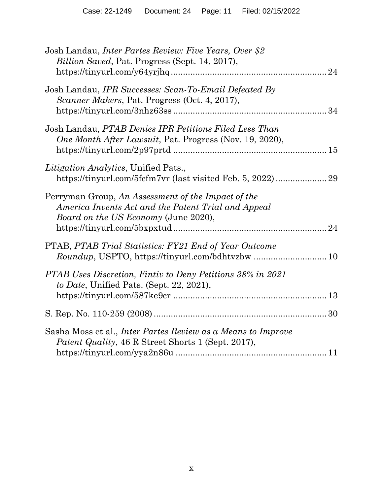| Josh Landau, <i>Inter Partes Review: Five Years, Over</i> \$2<br>Billion Saved, Pat. Progress (Sept. 14, 2017),                                          |    |
|----------------------------------------------------------------------------------------------------------------------------------------------------------|----|
| Josh Landau, <i>IPR Successes: Scan-To-Email Defeated By</i><br>Scanner Makers, Pat. Progress (Oct. 4, 2017),                                            |    |
| Josh Landau, PTAB Denies IPR Petitions Filed Less Than<br>One Month After Lawsuit, Pat. Progress (Nov. 19, 2020),                                        |    |
| <i>Litigation Analytics</i> , Unified Pats.,<br>https://tinyurl.com/5fcfm7vr (last visited Feb. 5, 2022)29                                               |    |
| Perryman Group, An Assessment of the Impact of the<br>America Invents Act and the Patent Trial and Appeal<br><i>Board on the US Economy</i> (June 2020), | 24 |
| PTAB, PTAB Trial Statistics: FY21 End of Year Outcome                                                                                                    |    |
| PTAB Uses Discretion, Fintiv to Deny Petitions 38% in 2021<br>to Date, Unified Pats. (Sept. 22, 2021),                                                   |    |
|                                                                                                                                                          |    |
| Sasha Moss et al., <i>Inter Partes Review as a Means to Improve</i><br>Patent Quality, 46 R Street Shorts 1 (Sept. 2017),                                |    |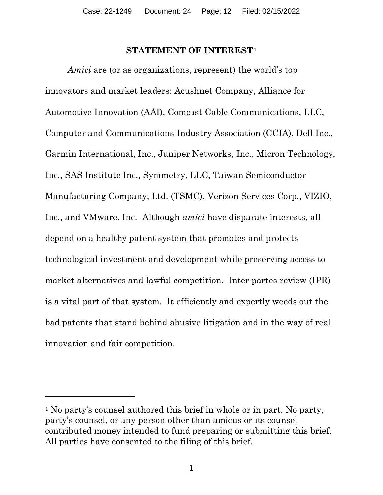#### **STATEMENT OF INTEREST[1](#page-11-1)**

<span id="page-11-0"></span>*Amici* are (or as organizations, represent) the world's top innovators and market leaders: Acushnet Company, Alliance for Automotive Innovation (AAI), Comcast Cable Communications, LLC, Computer and Communications Industry Association (CCIA), Dell Inc., Garmin International, Inc., Juniper Networks, Inc., Micron Technology, Inc., SAS Institute Inc., Symmetry, LLC, Taiwan Semiconductor Manufacturing Company, Ltd. (TSMC), Verizon Services Corp., VIZIO, Inc., and VMware, Inc. Although *amici* have disparate interests, all depend on a healthy patent system that promotes and protects technological investment and development while preserving access to market alternatives and lawful competition. Inter partes review (IPR) is a vital part of that system. It efficiently and expertly weeds out the bad patents that stand behind abusive litigation and in the way of real innovation and fair competition.

<span id="page-11-1"></span><sup>1</sup> No party's counsel authored this brief in whole or in part. No party, party's counsel, or any person other than amicus or its counsel contributed money intended to fund preparing or submitting this brief. All parties have consented to the filing of this brief.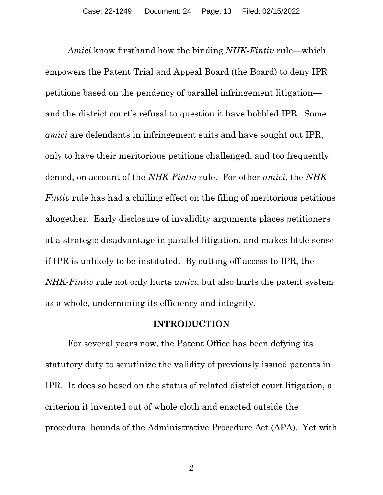*Amici* know firsthand how the binding *NHK-Fintiv* rule—which empowers the Patent Trial and Appeal Board (the Board) to deny IPR petitions based on the pendency of parallel infringement litigation and the district court's refusal to question it have hobbled IPR. Some *amici* are defendants in infringement suits and have sought out IPR, only to have their meritorious petitions challenged, and too frequently denied, on account of the *NHK-Fintiv* rule. For other *amici*, the *NHK-Fintiv* rule has had a chilling effect on the filing of meritorious petitions altogether. Early disclosure of invalidity arguments places petitioners at a strategic disadvantage in parallel litigation, and makes little sense if IPR is unlikely to be instituted. By cutting off access to IPR, the *NHK-Fintiv* rule not only hurts *amici*, but also hurts the patent system as a whole, undermining its efficiency and integrity.

#### **INTRODUCTION**

<span id="page-12-0"></span>For several years now, the Patent Office has been defying its statutory duty to scrutinize the validity of previously issued patents in IPR. It does so based on the status of related district court litigation, a criterion it invented out of whole cloth and enacted outside the procedural bounds of the Administrative Procedure Act (APA). Yet with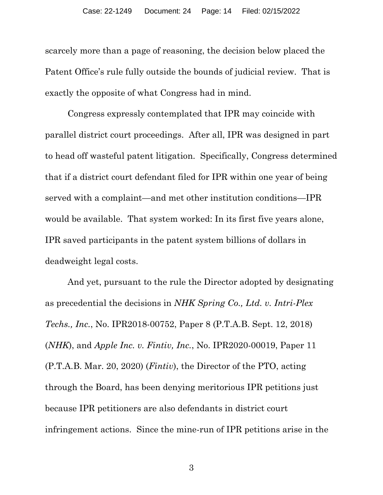scarcely more than a page of reasoning, the decision below placed the Patent Office's rule fully outside the bounds of judicial review. That is exactly the opposite of what Congress had in mind.

Congress expressly contemplated that IPR may coincide with parallel district court proceedings. After all, IPR was designed in part to head off wasteful patent litigation. Specifically, Congress determined that if a district court defendant filed for IPR within one year of being served with a complaint—and met other institution conditions—IPR would be available. That system worked: In its first five years alone, IPR saved participants in the patent system billions of dollars in deadweight legal costs.

And yet, pursuant to the rule the Director adopted by designating as precedential the decisions in *NHK Spring Co., Ltd. v. Intri-Plex Techs., Inc.*, No. IPR2018-00752, Paper 8 (P.T.A.B. Sept. 12, 2018) (*NHK*), and *Apple Inc. v. Fintiv, Inc.*, No. IPR2020-00019, Paper 11 (P.T.A.B. Mar. 20, 2020) (*Fintiv*), the Director of the PTO, acting through the Board, has been denying meritorious IPR petitions just because IPR petitioners are also defendants in district court infringement actions. Since the mine-run of IPR petitions arise in the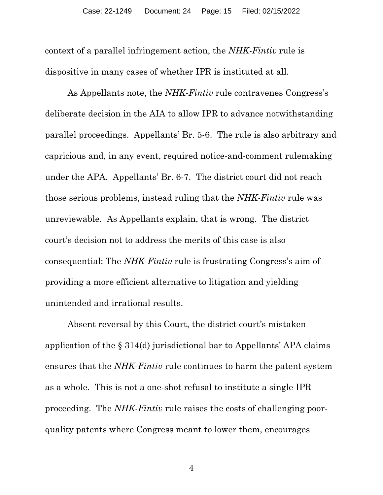context of a parallel infringement action, the *NHK-Fintiv* rule is dispositive in many cases of whether IPR is instituted at all.

As Appellants note, the *NHK-Fintiv* rule contravenes Congress's deliberate decision in the AIA to allow IPR to advance notwithstanding parallel proceedings. Appellants' Br. 5-6. The rule is also arbitrary and capricious and, in any event, required notice-and-comment rulemaking under the APA. Appellants' Br. 6-7. The district court did not reach those serious problems, instead ruling that the *NHK-Fintiv* rule was unreviewable. As Appellants explain, that is wrong. The district court's decision not to address the merits of this case is also consequential: The *NHK-Fintiv* rule is frustrating Congress's aim of providing a more efficient alternative to litigation and yielding unintended and irrational results.

Absent reversal by this Court, the district court's mistaken application of the § 314(d) jurisdictional bar to Appellants' APA claims ensures that the *NHK-Fintiv* rule continues to harm the patent system as a whole. This is not a one-shot refusal to institute a single IPR proceeding. The *NHK-Fintiv* rule raises the costs of challenging poorquality patents where Congress meant to lower them, encourages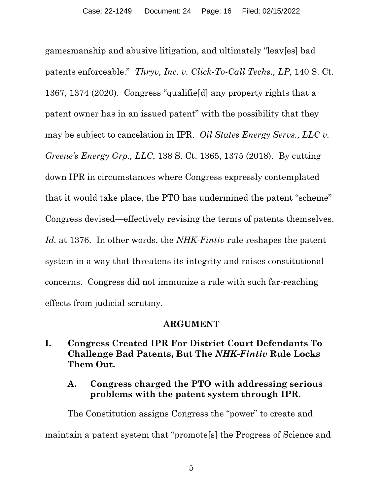gamesmanship and abusive litigation, and ultimately "leav[es] bad patents enforceable." *Thryv, Inc. v. Click-To-Call Techs., LP*, 140 S. Ct. 1367, 1374 (2020). Congress "qualifie[d] any property rights that a patent owner has in an issued patent" with the possibility that they may be subject to cancelation in IPR. *Oil States Energy Servs., LLC v. Greene's Energy Grp., LLC*, 138 S. Ct. 1365, 1375 (2018). By cutting down IPR in circumstances where Congress expressly contemplated that it would take place, the PTO has undermined the patent "scheme" Congress devised—effectively revising the terms of patents themselves. *Id.* at 1376. In other words, the *NHK-Fintiv* rule reshapes the patent system in a way that threatens its integrity and raises constitutional concerns. Congress did not immunize a rule with such far-reaching effects from judicial scrutiny.

#### **ARGUMENT**

<span id="page-15-1"></span><span id="page-15-0"></span>**I. Congress Created IPR For District Court Defendants To Challenge Bad Patents, But The** *NHK-Fintiv* **Rule Locks Them Out.**

### <span id="page-15-2"></span>**A. Congress charged the PTO with addressing serious problems with the patent system through IPR.**

The Constitution assigns Congress the "power" to create and maintain a patent system that "promote[s] the Progress of Science and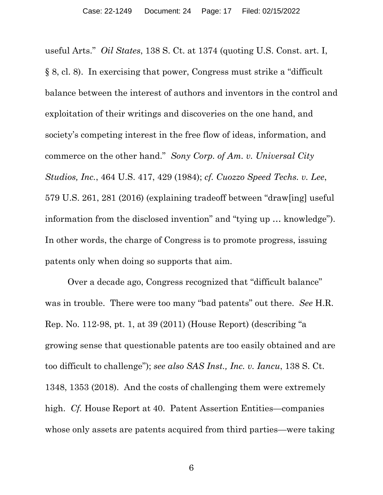useful Arts." *Oil States*, 138 S. Ct. at 1374 (quoting U.S. Const. art. I, § 8, cl. 8). In exercising that power, Congress must strike a "difficult balance between the interest of authors and inventors in the control and exploitation of their writings and discoveries on the one hand, and society's competing interest in the free flow of ideas, information, and commerce on the other hand." *Sony Corp. of Am. v. Universal City Studios, Inc.*, 464 U.S. 417, 429 (1984); *cf. Cuozzo Speed Techs. v. Lee*, 579 U.S. 261, 281 (2016) (explaining tradeoff between "draw[ing] useful information from the disclosed invention" and "tying up … knowledge"). In other words, the charge of Congress is to promote progress, issuing patents only when doing so supports that aim.

Over a decade ago, Congress recognized that "difficult balance" was in trouble. There were too many "bad patents" out there. *See* H.R. Rep. No. 112-98, pt. 1, at 39 (2011) (House Report) (describing "a growing sense that questionable patents are too easily obtained and are too difficult to challenge"); *see also SAS Inst., Inc. v. Iancu*, 138 S. Ct. 1348, 1353 (2018). And the costs of challenging them were extremely high. *Cf.* House Report at 40. Patent Assertion Entities—companies whose only assets are patents acquired from third parties—were taking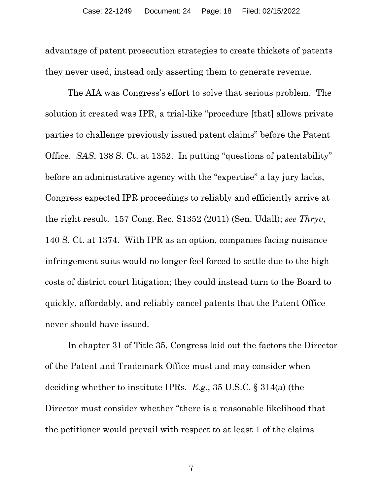advantage of patent prosecution strategies to create thickets of patents they never used, instead only asserting them to generate revenue.

The AIA was Congress's effort to solve that serious problem. The solution it created was IPR, a trial-like "procedure [that] allows private parties to challenge previously issued patent claims" before the Patent Office. *SAS*, 138 S. Ct. at 1352. In putting "questions of patentability" before an administrative agency with the "expertise" a lay jury lacks, Congress expected IPR proceedings to reliably and efficiently arrive at the right result. 157 Cong. Rec. S1352 (2011) (Sen. Udall); *see Thryv*, 140 S. Ct. at 1374. With IPR as an option, companies facing nuisance infringement suits would no longer feel forced to settle due to the high costs of district court litigation; they could instead turn to the Board to quickly, affordably, and reliably cancel patents that the Patent Office never should have issued.

In chapter 31 of Title 35, Congress laid out the factors the Director of the Patent and Trademark Office must and may consider when deciding whether to institute IPRs. *E.g.*, 35 U.S.C. § 314(a) (the Director must consider whether "there is a reasonable likelihood that the petitioner would prevail with respect to at least 1 of the claims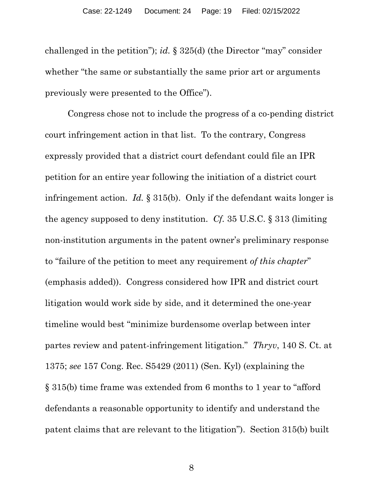challenged in the petition"); *id.* § 325(d) (the Director "may" consider whether "the same or substantially the same prior art or arguments previously were presented to the Office").

Congress chose not to include the progress of a co-pending district court infringement action in that list. To the contrary, Congress expressly provided that a district court defendant could file an IPR petition for an entire year following the initiation of a district court infringement action. *Id.* § 315(b). Only if the defendant waits longer is the agency supposed to deny institution. *Cf.* 35 U.S.C. § 313 (limiting non-institution arguments in the patent owner's preliminary response to "failure of the petition to meet any requirement *of this chapter*" (emphasis added)). Congress considered how IPR and district court litigation would work side by side, and it determined the one-year timeline would best "minimize burdensome overlap between inter partes review and patent-infringement litigation." *Thryv*, 140 S. Ct. at 1375; *see* 157 Cong. Rec. S5429 (2011) (Sen. Kyl) (explaining the § 315(b) time frame was extended from 6 months to 1 year to "afford defendants a reasonable opportunity to identify and understand the patent claims that are relevant to the litigation"). Section 315(b) built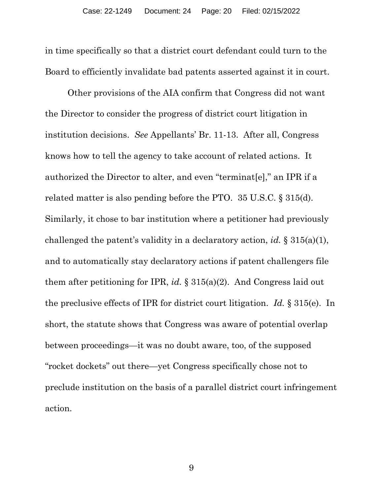in time specifically so that a district court defendant could turn to the Board to efficiently invalidate bad patents asserted against it in court.

Other provisions of the AIA confirm that Congress did not want the Director to consider the progress of district court litigation in institution decisions. *See* Appellants' Br. 11-13. After all, Congress knows how to tell the agency to take account of related actions. It authorized the Director to alter, and even "terminat[e]," an IPR if a related matter is also pending before the PTO. 35 U.S.C. § 315(d). Similarly, it chose to bar institution where a petitioner had previously challenged the patent's validity in a declaratory action, *id.* § 315(a)(1), and to automatically stay declaratory actions if patent challengers file them after petitioning for IPR, *id.* § 315(a)(2). And Congress laid out the preclusive effects of IPR for district court litigation. *Id.* § 315(e). In short, the statute shows that Congress was aware of potential overlap between proceedings—it was no doubt aware, too, of the supposed "rocket dockets" out there—yet Congress specifically chose not to preclude institution on the basis of a parallel district court infringement action.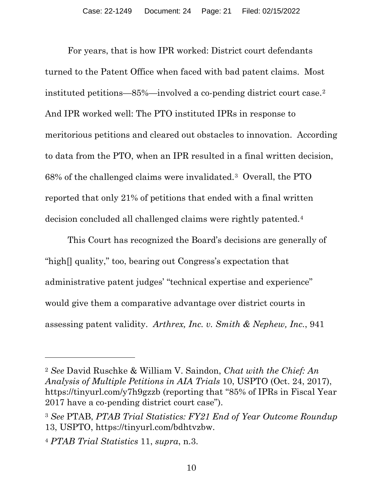For years, that is how IPR worked: District court defendants turned to the Patent Office when faced with bad patent claims. Most instituted petitions—85%—involved a co-pending district court case.[2](#page-20-0) And IPR worked well: The PTO instituted IPRs in response to meritorious petitions and cleared out obstacles to innovation. According to data from the PTO, when an IPR resulted in a final written decision, 68% of the challenged claims were invalidated.[3](#page-20-1) Overall, the PTO reported that only 21% of petitions that ended with a final written decision concluded all challenged claims were rightly patented.[4](#page-20-2)

This Court has recognized the Board's decisions are generally of "high[] quality," too, bearing out Congress's expectation that administrative patent judges' "technical expertise and experience" would give them a comparative advantage over district courts in assessing patent validity. *Arthrex, Inc. v. Smith & Nephew, Inc.*, 941

<span id="page-20-0"></span><sup>2</sup> *See* David Ruschke & William V. Saindon, *Chat with the Chief: An Analysis of Multiple Petitions in AIA Trials* 10, USPTO (Oct. 24, 2017), https://tinyurl.com/y7h9gzzb (reporting that "85% of IPRs in Fiscal Year 2017 have a co-pending district court case").

<span id="page-20-1"></span><sup>3</sup> *See* PTAB, *PTAB Trial Statistics: FY21 End of Year Outcome Roundup* 13, USPTO, https://tinyurl.com/bdhtvzbw.

<span id="page-20-2"></span><sup>4</sup> *PTAB Trial Statistics* 11, *supra*, n.3.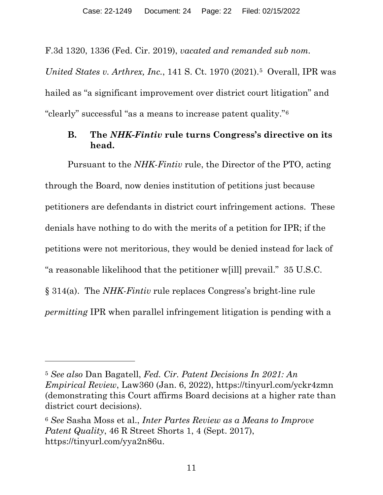F.3d 1320, 1336 (Fed. Cir. 2019), *vacated and remanded sub nom. United States v. Arthrex, Inc.*, 141 S. Ct. 1970 (2021).[5](#page-21-1) Overall, IPR was hailed as "a significant improvement over district court litigation" and

<span id="page-21-0"></span>"clearly" successful "as a means to increase patent quality."[6](#page-21-2) 

# **B. The** *NHK-Fintiv* **rule turns Congress's directive on its head.**

Pursuant to the *NHK*-*Fintiv* rule, the Director of the PTO, acting through the Board, now denies institution of petitions just because petitioners are defendants in district court infringement actions. These denials have nothing to do with the merits of a petition for IPR; if the petitions were not meritorious, they would be denied instead for lack of "a reasonable likelihood that the petitioner w[ill] prevail." 35 U.S.C. § 314(a). The *NHK-Fintiv* rule replaces Congress's bright-line rule *permitting* IPR when parallel infringement litigation is pending with a

<span id="page-21-1"></span><sup>5</sup> *See also* Dan Bagatell, *Fed. Cir. Patent Decisions In 2021: An Empirical Review*, Law360 (Jan. 6, 2022), https://tinyurl.com/yckr4zmn (demonstrating this Court affirms Board decisions at a higher rate than district court decisions).

<span id="page-21-2"></span><sup>6</sup> *See* Sasha Moss et al., *Inter Partes Review as a Means to Improve Patent Quality*, 46 R Street Shorts 1, 4 (Sept. 2017), https://tinyurl.com/yya2n86u.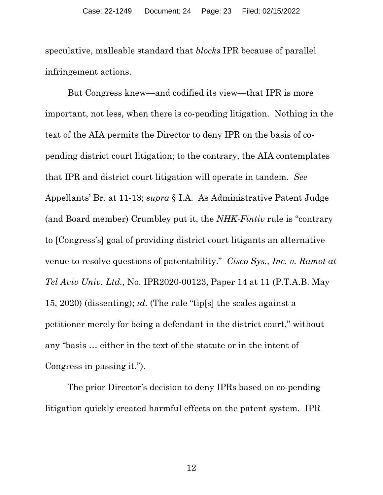speculative, malleable standard that *blocks* IPR because of parallel infringement actions.

But Congress knew—and codified its view—that IPR is more important, not less, when there is co-pending litigation. Nothing in the text of the AIA permits the Director to deny IPR on the basis of copending district court litigation; to the contrary, the AIA contemplates that IPR and district court litigation will operate in tandem. *See*  Appellants' Br. at 11-13; *supra* § I.A. As Administrative Patent Judge (and Board member) Crumbley put it, the *NHK-Fintiv* rule is "contrary to [Congress's] goal of providing district court litigants an alternative venue to resolve questions of patentability." *Cisco Sys., Inc. v. Ramot at Tel Aviv Univ. Ltd.*, No. IPR2020-00123, Paper 14 at 11 (P.T.A.B. May 15, 2020) (dissenting); *id.* (The rule "tip[s] the scales against a petitioner merely for being a defendant in the district court," without any "basis … either in the text of the statute or in the intent of Congress in passing it.").

The prior Director's decision to deny IPRs based on co-pending litigation quickly created harmful effects on the patent system. IPR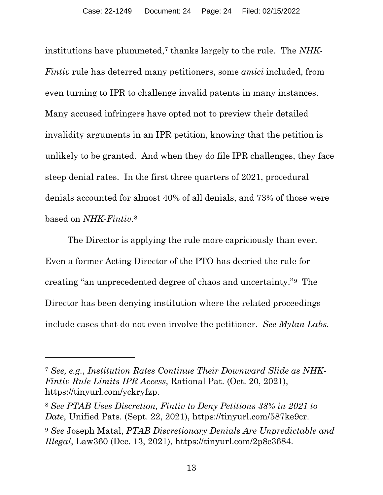institutions have plummeted,[7](#page-23-0) thanks largely to the rule. The *NHK-Fintiv* rule has deterred many petitioners, some *amici* included, from even turning to IPR to challenge invalid patents in many instances. Many accused infringers have opted not to preview their detailed invalidity arguments in an IPR petition, knowing that the petition is unlikely to be granted. And when they do file IPR challenges, they face steep denial rates. In the first three quarters of 2021, procedural denials accounted for almost 40% of all denials, and 73% of those were based on *NHK-Fintiv*.[8](#page-23-1)

The Director is applying the rule more capriciously than ever. Even a former Acting Director of the PTO has decried the rule for creating "an unprecedented degree of chaos and uncertainty."[9](#page-23-2) The Director has been denying institution where the related proceedings include cases that do not even involve the petitioner. *See Mylan Labs.*

<span id="page-23-0"></span><sup>7</sup> *See, e.g.*, *Institution Rates Continue Their Downward Slide as NHK-Fintiv Rule Limits IPR Access*, Rational Pat. (Oct. 20, 2021), https://tinyurl.com/yckryfzp.

<span id="page-23-1"></span><sup>8</sup> *See PTAB Uses Discretion, Fintiv to Deny Petitions 38% in 2021 to Date*, Unified Pats. (Sept. 22, 2021), https://tinyurl.com/587ke9cr.

<span id="page-23-2"></span><sup>9</sup> *See* Joseph Matal, *PTAB Discretionary Denials Are Unpredictable and Illegal*, Law360 (Dec. 13, 2021), https://tinyurl.com/2p8c3684.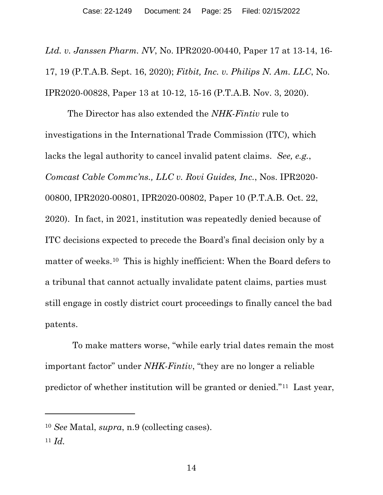*Ltd. v. Janssen Pharm. NV*, No. IPR2020-00440, Paper 17 at 13-14, 16- 17, 19 (P.T.A.B. Sept. 16, 2020); *Fitbit, Inc. v. Philips N. Am. LLC*, No. IPR2020-00828, Paper 13 at 10-12, 15-16 (P.T.A.B. Nov. 3, 2020).

The Director has also extended the *NHK-Fintiv* rule to investigations in the International Trade Commission (ITC), which lacks the legal authority to cancel invalid patent claims. *See, e.g.*, *Comcast Cable Commc'ns., LLC v. Rovi Guides, Inc.*, Nos. IPR2020- 00800, IPR2020-00801, IPR2020-00802, Paper 10 (P.T.A.B. Oct. 22, 2020). In fact, in 2021, institution was repeatedly denied because of ITC decisions expected to precede the Board's final decision only by a matter of weeks.[10](#page-24-0) This is highly inefficient: When the Board defers to a tribunal that cannot actually invalidate patent claims, parties must still engage in costly district court proceedings to finally cancel the bad patents.

 To make matters worse, "while early trial dates remain the most important factor" under *NHK-Fintiv*, "they are no longer a reliable predictor of whether institution will be granted or denied."[11](#page-24-1) Last year,

<span id="page-24-0"></span><sup>10</sup> *See* Matal, *supra*, n.9 (collecting cases).

<span id="page-24-1"></span> $11$  *Id.*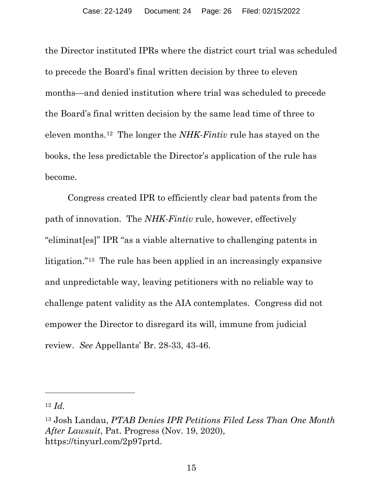the Director instituted IPRs where the district court trial was scheduled to precede the Board's final written decision by three to eleven months—and denied institution where trial was scheduled to precede the Board's final written decision by the same lead time of three to eleven months.[12](#page-25-0) The longer the *NHK-Fintiv* rule has stayed on the books, the less predictable the Director's application of the rule has become.

Congress created IPR to efficiently clear bad patents from the path of innovation. The *NHK-Fintiv* rule, however, effectively "eliminat[es]" IPR "as a viable alternative to challenging patents in litigation."[13](#page-25-1) The rule has been applied in an increasingly expansive and unpredictable way, leaving petitioners with no reliable way to challenge patent validity as the AIA contemplates. Congress did not empower the Director to disregard its will, immune from judicial review. *See* Appellants' Br. 28-33, 43-46.

<span id="page-25-0"></span><sup>12</sup> *Id.* 

<span id="page-25-1"></span><sup>13</sup> Josh Landau, *PTAB Denies IPR Petitions Filed Less Than One Month After Lawsuit*, Pat. Progress (Nov. 19, 2020), https://tinyurl.com/2p97prtd.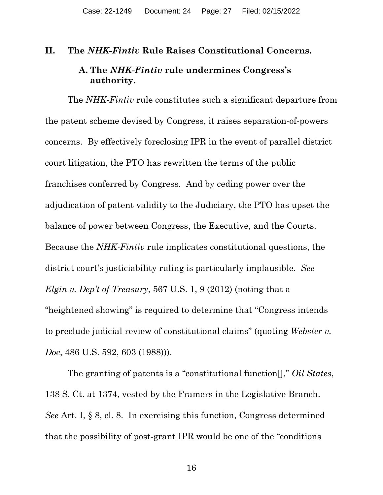#### <span id="page-26-1"></span><span id="page-26-0"></span>**II. The** *NHK-Fintiv* **Rule Raises Constitutional Concerns.**

### **A. The** *NHK-Fintiv* **rule undermines Congress's authority.**

The *NHK*-*Fintiv* rule constitutes such a significant departure from the patent scheme devised by Congress, it raises separation-of-powers concerns. By effectively foreclosing IPR in the event of parallel district court litigation, the PTO has rewritten the terms of the public franchises conferred by Congress. And by ceding power over the adjudication of patent validity to the Judiciary, the PTO has upset the balance of power between Congress, the Executive, and the Courts. Because the *NHK-Fintiv* rule implicates constitutional questions, the district court's justiciability ruling is particularly implausible. *See Elgin v. Dep't of Treasury*, 567 U.S. 1, 9 (2012) (noting that a "heightened showing" is required to determine that "Congress intends to preclude judicial review of constitutional claims" (quoting *Webster v. Doe*, 486 U.S. 592, 603 (1988))).

The granting of patents is a "constitutional function[]," *Oil States*, 138 S. Ct. at 1374, vested by the Framers in the Legislative Branch. *See* Art. I, § 8, cl. 8. In exercising this function, Congress determined that the possibility of post-grant IPR would be one of the "conditions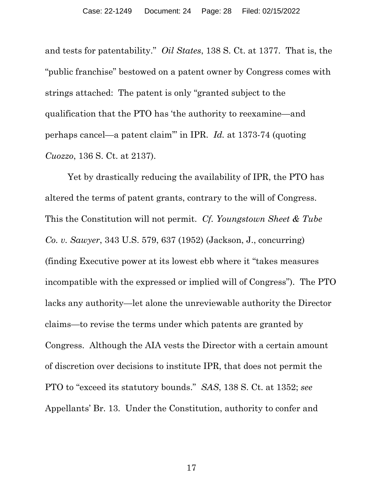and tests for patentability." *Oil States*, 138 S. Ct. at 1377. That is, the "public franchise" bestowed on a patent owner by Congress comes with strings attached: The patent is only "granted subject to the qualification that the PTO has 'the authority to reexamine—and perhaps cancel—a patent claim'" in IPR. *Id.* at 1373-74 (quoting *Cuozzo*, 136 S. Ct. at 2137).

Yet by drastically reducing the availability of IPR, the PTO has altered the terms of patent grants, contrary to the will of Congress. This the Constitution will not permit. *Cf. Youngstown Sheet & Tube Co. v. Sawyer*, 343 U.S. 579, 637 (1952) (Jackson, J., concurring) (finding Executive power at its lowest ebb where it "takes measures incompatible with the expressed or implied will of Congress"). The PTO lacks any authority—let alone the unreviewable authority the Director claims—to revise the terms under which patents are granted by Congress. Although the AIA vests the Director with a certain amount of discretion over decisions to institute IPR, that does not permit the PTO to "exceed its statutory bounds." *SAS*, 138 S. Ct. at 1352; *see*  Appellants' Br. 13. Under the Constitution, authority to confer and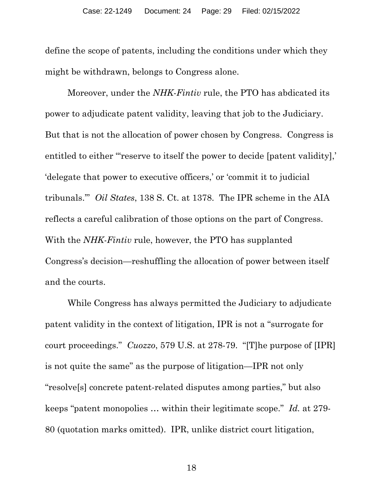define the scope of patents, including the conditions under which they might be withdrawn, belongs to Congress alone.

Moreover, under the *NHK*-*Fintiv* rule, the PTO has abdicated its power to adjudicate patent validity, leaving that job to the Judiciary. But that is not the allocation of power chosen by Congress. Congress is entitled to either "reserve to itself the power to decide [patent validity],' 'delegate that power to executive officers,' or 'commit it to judicial tribunals.'" *Oil States*, 138 S. Ct. at 1378. The IPR scheme in the AIA reflects a careful calibration of those options on the part of Congress. With the *NHK*-*Fintiv* rule, however, the PTO has supplanted Congress's decision—reshuffling the allocation of power between itself and the courts.

While Congress has always permitted the Judiciary to adjudicate patent validity in the context of litigation, IPR is not a "surrogate for court proceedings." *Cuozzo*, 579 U.S. at 278-79. "[T]he purpose of [IPR] is not quite the same" as the purpose of litigation—IPR not only "resolve[s] concrete patent-related disputes among parties," but also keeps "patent monopolies … within their legitimate scope." *Id.* at 279- 80 (quotation marks omitted). IPR, unlike district court litigation,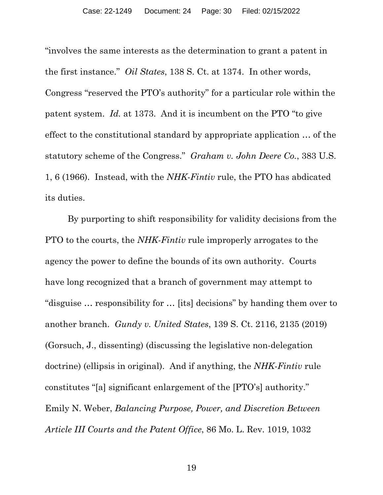"involves the same interests as the determination to grant a patent in the first instance." *Oil States*, 138 S. Ct. at 1374. In other words, Congress "reserved the PTO's authority" for a particular role within the patent system. *Id.* at 1373. And it is incumbent on the PTO "to give effect to the constitutional standard by appropriate application … of the statutory scheme of the Congress." *Graham v. John Deere Co.*, 383 U.S. 1, 6 (1966). Instead, with the *NHK*-*Fintiv* rule, the PTO has abdicated its duties.

By purporting to shift responsibility for validity decisions from the PTO to the courts, the *NHK-Fintiv* rule improperly arrogates to the agency the power to define the bounds of its own authority. Courts have long recognized that a branch of government may attempt to "disguise … responsibility for … [its] decisions" by handing them over to another branch. *Gundy v. United States*, 139 S. Ct. 2116, 2135 (2019) (Gorsuch, J., dissenting) (discussing the legislative non-delegation doctrine) (ellipsis in original). And if anything, the *NHK*-*Fintiv* rule constitutes "[a] significant enlargement of the [PTO's] authority." Emily N. Weber, *Balancing Purpose, Power, and Discretion Between Article III Courts and the Patent Office*, 86 Mo. L. Rev. 1019, 1032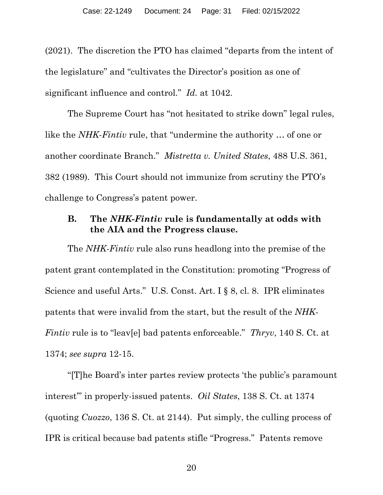(2021). The discretion the PTO has claimed "departs from the intent of the legislature" and "cultivates the Director's position as one of significant influence and control." *Id.* at 1042.

The Supreme Court has "not hesitated to strike down" legal rules, like the *NHK*-*Fintiv* rule, that "undermine the authority … of one or another coordinate Branch." *Mistretta v. United States*, 488 U.S. 361, 382 (1989)*.* This Court should not immunize from scrutiny the PTO's challenge to Congress's patent power.

### <span id="page-30-0"></span>**B. The** *NHK-Fintiv* **rule is fundamentally at odds with the AIA and the Progress clause.**

The *NHK-Fintiv* rule also runs headlong into the premise of the patent grant contemplated in the Constitution: promoting "Progress of Science and useful Arts." U.S. Const. Art. I § 8, cl. 8. IPR eliminates patents that were invalid from the start, but the result of the *NHK-Fintiv* rule is to "leav[e] bad patents enforceable." *Thryv*, 140 S. Ct. at 1374; *see supra* 12-15.

"[T]he Board's inter partes review protects 'the public's paramount interest'" in properly-issued patents. *Oil States*, 138 S. Ct. at 1374 (quoting *Cuozzo*, 136 S. Ct. at 2144). Put simply, the culling process of IPR is critical because bad patents stifle "Progress." Patents remove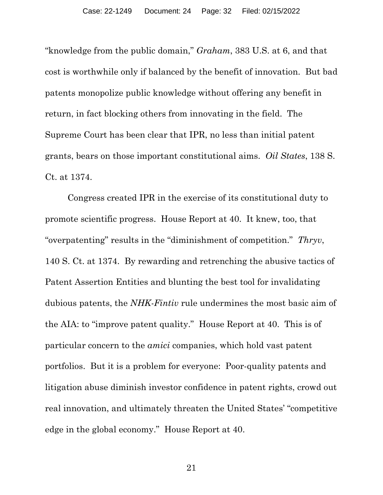"knowledge from the public domain," *Graham*, 383 U.S. at 6, and that cost is worthwhile only if balanced by the benefit of innovation. But bad patents monopolize public knowledge without offering any benefit in return, in fact blocking others from innovating in the field. The Supreme Court has been clear that IPR, no less than initial patent grants, bears on those important constitutional aims. *Oil States*, 138 S. Ct. at 1374.

Congress created IPR in the exercise of its constitutional duty to promote scientific progress. House Report at 40. It knew, too, that "overpatenting" results in the "diminishment of competition." *Thryv*, 140 S. Ct. at 1374. By rewarding and retrenching the abusive tactics of Patent Assertion Entities and blunting the best tool for invalidating dubious patents, the *NHK-Fintiv* rule undermines the most basic aim of the AIA: to "improve patent quality." House Report at 40. This is of particular concern to the *amici* companies, which hold vast patent portfolios. But it is a problem for everyone: Poor-quality patents and litigation abuse diminish investor confidence in patent rights, crowd out real innovation, and ultimately threaten the United States' "competitive edge in the global economy." House Report at 40.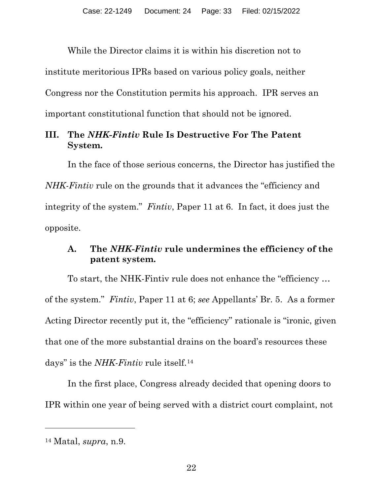While the Director claims it is within his discretion not to institute meritorious IPRs based on various policy goals, neither Congress nor the Constitution permits his approach. IPR serves an

important constitutional function that should not be ignored.

# <span id="page-32-0"></span>**III. The** *NHK-Fintiv* **Rule Is Destructive For The Patent System.**

In the face of those serious concerns, the Director has justified the *NHK-Fintiv* rule on the grounds that it advances the "efficiency and integrity of the system." *Fintiv*, Paper 11 at 6. In fact, it does just the opposite.

# <span id="page-32-1"></span>**A. The** *NHK-Fintiv* **rule undermines the efficiency of the patent system.**

To start, the NHK-Fintiv rule does not enhance the "efficiency … of the system." *Fintiv*, Paper 11 at 6; *see* Appellants' Br. 5. As a former Acting Director recently put it, the "efficiency" rationale is "ironic, given that one of the more substantial drains on the board's resources these days" is the *NHK-Fintiv* rule itself.[14](#page-32-2)

In the first place, Congress already decided that opening doors to IPR within one year of being served with a district court complaint, not

<span id="page-32-2"></span><sup>14</sup> Matal, *supra*, n.9.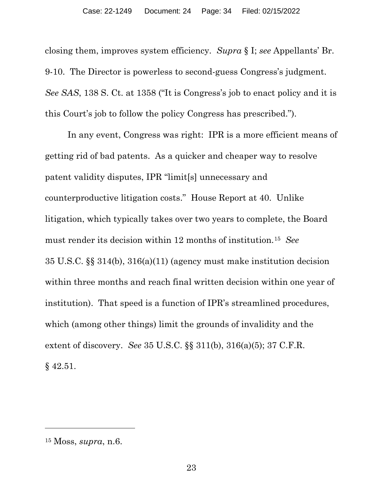closing them, improves system efficiency. *Supra* § I; *see* Appellants' Br. 9-10. The Director is powerless to second-guess Congress's judgment. *See SAS*, 138 S. Ct. at 1358 ("It is Congress's job to enact policy and it is this Court's job to follow the policy Congress has prescribed.").

In any event, Congress was right: IPR is a more efficient means of getting rid of bad patents. As a quicker and cheaper way to resolve patent validity disputes, IPR "limit[s] unnecessary and counterproductive litigation costs." House Report at 40. Unlike litigation, which typically takes over two years to complete, the Board must render its decision within 12 months of institution.[15](#page-33-0) *See*  35 U.S.C. §§ 314(b), 316(a)(11) (agency must make institution decision within three months and reach final written decision within one year of institution). That speed is a function of IPR's streamlined procedures, which (among other things) limit the grounds of invalidity and the extent of discovery. *See* 35 U.S.C. §§ 311(b), 316(a)(5); 37 C.F.R. § 42.51.

<span id="page-33-0"></span><sup>15</sup> Moss, *supra*, n.6.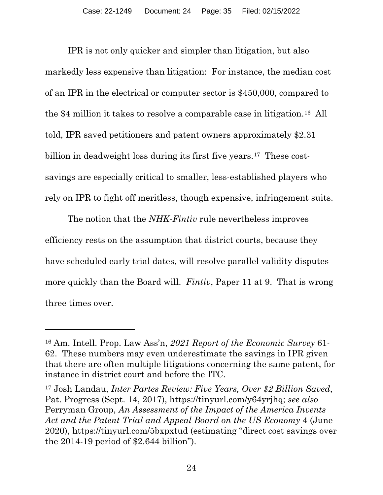IPR is not only quicker and simpler than litigation, but also markedly less expensive than litigation: For instance, the median cost of an IPR in the electrical or computer sector is \$450,000, compared to the \$4 million it takes to resolve a comparable case in litigation.[16](#page-34-0) All told, IPR saved petitioners and patent owners approximately \$2.31 billion in deadweight loss during its first five years.<sup>17</sup> These costsavings are especially critical to smaller, less-established players who rely on IPR to fight off meritless, though expensive, infringement suits.

The notion that the *NHK-Fintiv* rule nevertheless improves efficiency rests on the assumption that district courts, because they have scheduled early trial dates, will resolve parallel validity disputes more quickly than the Board will. *Fintiv*, Paper 11 at 9. That is wrong three times over.

<span id="page-34-0"></span><sup>16</sup> Am. Intell. Prop. Law Ass'n, *2021 Report of the Economic Survey* 61- 62. These numbers may even underestimate the savings in IPR given that there are often multiple litigations concerning the same patent, for instance in district court and before the ITC.

<span id="page-34-1"></span><sup>17</sup> Josh Landau, *Inter Partes Review: Five Years, Over \$2 Billion Saved*, Pat. Progress (Sept. 14, 2017), https://tinyurl.com/y64yrjhq; *see also*  Perryman Group, *An Assessment of the Impact of the America Invents Act and the Patent Trial and Appeal Board on the US Economy* 4 (June 2020), https://tinyurl.com/5bxpxtud (estimating "direct cost savings over the 2014-19 period of \$2.644 billion").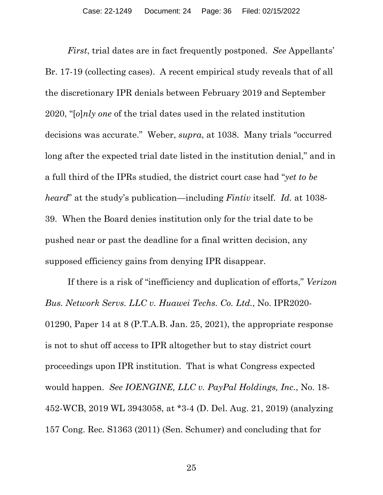*First*, trial dates are in fact frequently postponed. *See* Appellants' Br. 17-19 (collecting cases). A recent empirical study reveals that of all the discretionary IPR denials between February 2019 and September 2020, "[*o*]*nly one* of the trial dates used in the related institution decisions was accurate." Weber, *supra*, at 1038. Many trials "occurred long after the expected trial date listed in the institution denial," and in a full third of the IPRs studied, the district court case had "*yet to be heard*" at the study's publication—including *Fintiv* itself. *Id.* at 1038- 39. When the Board denies institution only for the trial date to be pushed near or past the deadline for a final written decision, any supposed efficiency gains from denying IPR disappear.

If there is a risk of "inefficiency and duplication of efforts," *Verizon Bus. Network Servs. LLC v. Huawei Techs. Co. Ltd.*, No. IPR2020- 01290, Paper 14 at 8 (P.T.A.B. Jan. 25, 2021), the appropriate response is not to shut off access to IPR altogether but to stay district court proceedings upon IPR institution. That is what Congress expected would happen. *See IOENGINE, LLC v. PayPal Holdings, Inc.*, No. 18- 452-WCB, 2019 WL 3943058, at \*3-4 (D. Del. Aug. 21, 2019) (analyzing 157 Cong. Rec. S1363 (2011) (Sen. Schumer) and concluding that for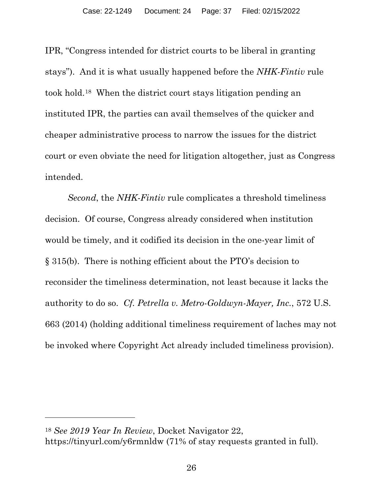IPR, "Congress intended for district courts to be liberal in granting stays"). And it is what usually happened before the *NHK-Fintiv* rule took hold.[18](#page-36-0) When the district court stays litigation pending an instituted IPR, the parties can avail themselves of the quicker and cheaper administrative process to narrow the issues for the district court or even obviate the need for litigation altogether, just as Congress intended.

*Second*, the *NHK-Fintiv* rule complicates a threshold timeliness decision. Of course, Congress already considered when institution would be timely, and it codified its decision in the one-year limit of § 315(b). There is nothing efficient about the PTO's decision to reconsider the timeliness determination, not least because it lacks the authority to do so. *Cf. Petrella v. Metro-Goldwyn-Mayer, Inc.*, 572 U.S. 663 (2014) (holding additional timeliness requirement of laches may not be invoked where Copyright Act already included timeliness provision).

<span id="page-36-0"></span><sup>18</sup> *See 2019 Year In Review*, Docket Navigator 22, https://tinyurl.com/y6rmnldw (71% of stay requests granted in full).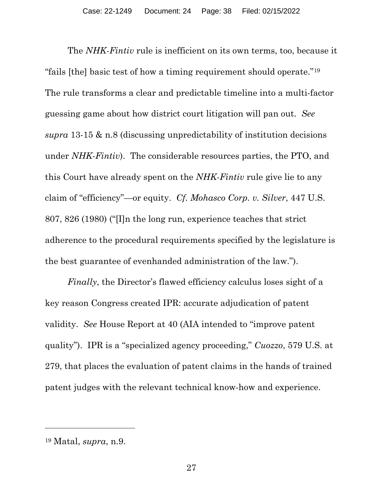The *NHK-Fintiv* rule is inefficient on its own terms, too, because it "fails [the] basic test of how a timing requirement should operate."[19](#page-37-0)  The rule transforms a clear and predictable timeline into a multi-factor guessing game about how district court litigation will pan out. *See supra* 13-15 & n.8 (discussing unpredictability of institution decisions under *NHK-Fintiv*). The considerable resources parties, the PTO, and this Court have already spent on the *NHK-Fintiv* rule give lie to any claim of "efficiency"—or equity. *Cf. Mohasco Corp. v. Silver*, 447 U.S. 807, 826 (1980) ("[I]n the long run, experience teaches that strict adherence to the procedural requirements specified by the legislature is the best guarantee of evenhanded administration of the law.").

*Finally*, the Director's flawed efficiency calculus loses sight of a key reason Congress created IPR: accurate adjudication of patent validity. *See* House Report at 40 (AIA intended to "improve patent quality"). IPR is a "specialized agency proceeding," *Cuozzo*, 579 U.S. at 279, that places the evaluation of patent claims in the hands of trained patent judges with the relevant technical know-how and experience.

<span id="page-37-0"></span><sup>19</sup> Matal, *supra*, n.9.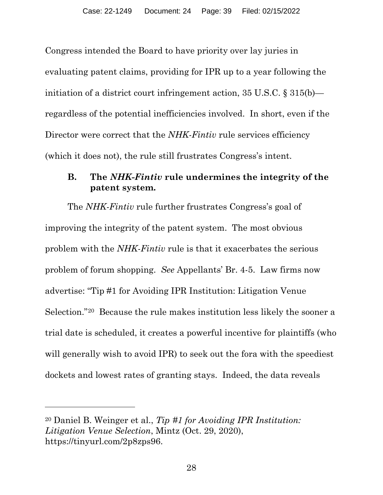Congress intended the Board to have priority over lay juries in evaluating patent claims, providing for IPR up to a year following the initiation of a district court infringement action, 35 U.S.C. § 315(b) regardless of the potential inefficiencies involved. In short, even if the Director were correct that the *NHK-Fintiv* rule services efficiency (which it does not), the rule still frustrates Congress's intent.

### <span id="page-38-0"></span>**B. The** *NHK-Fintiv* **rule undermines the integrity of the patent system.**

The *NHK-Fintiv* rule further frustrates Congress's goal of improving the integrity of the patent system. The most obvious problem with the *NHK-Fintiv* rule is that it exacerbates the serious problem of forum shopping. *See* Appellants' Br. 4-5. Law firms now advertise: "Tip #1 for Avoiding IPR Institution: Litigation Venue Selection."[20](#page-38-1) Because the rule makes institution less likely the sooner a trial date is scheduled, it creates a powerful incentive for plaintiffs (who will generally wish to avoid IPR) to seek out the fora with the speediest dockets and lowest rates of granting stays. Indeed, the data reveals

<span id="page-38-1"></span><sup>20</sup> Daniel B. Weinger et al., *Tip #1 for Avoiding IPR Institution: Litigation Venue Selection*, Mintz (Oct. 29, 2020), https://tinyurl.com/2p8zps96.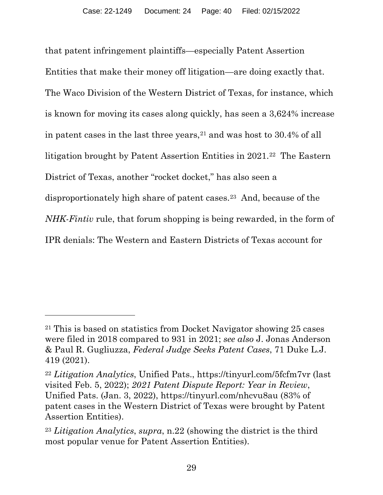that patent infringement plaintiffs—especially Patent Assertion Entities that make their money off litigation—are doing exactly that. The Waco Division of the Western District of Texas, for instance, which is known for moving its cases along quickly, has seen a 3,624% increase in patent cases in the last three years,<sup>[21](#page-39-0)</sup> and was host to 30.4% of all litigation brought by Patent Assertion Entities in 2021.[22](#page-39-1) The Eastern District of Texas, another "rocket docket," has also seen a disproportionately high share of patent cases.[23](#page-39-2) And, because of the *NHK-Fintiv* rule, that forum shopping is being rewarded, in the form of IPR denials: The Western and Eastern Districts of Texas account for

<span id="page-39-0"></span><sup>21</sup> This is based on statistics from Docket Navigator showing 25 cases were filed in 2018 compared to 931 in 2021; *see also* J. Jonas Anderson & Paul R. Gugliuzza, *Federal Judge Seeks Patent Cases*, 71 Duke L.J. 419 (2021).

<span id="page-39-1"></span><sup>22</sup> *Litigation Analytics*, Unified Pats., https://tinyurl.com/5fcfm7vr (last visited Feb. 5, 2022); *2021 Patent Dispute Report: Year in Review*, Unified Pats. (Jan. 3, 2022), https://tinyurl.com/nhcvu8au (83% of patent cases in the Western District of Texas were brought by Patent Assertion Entities).

<span id="page-39-2"></span><sup>23</sup> *Litigation Analytics*, *supra*, n.22 (showing the district is the third most popular venue for Patent Assertion Entities).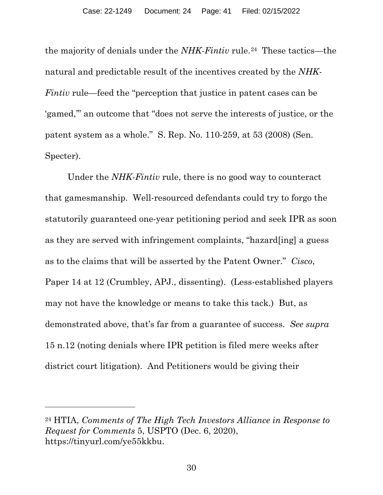the majority of denials under the *NHK-Fintiv* rule.[24](#page-40-0) These tactics—the natural and predictable result of the incentives created by the *NHK-Fintiv* rule—feed the "perception that justice in patent cases can be 'gamed,'" an outcome that "does not serve the interests of justice, or the patent system as a whole." S. Rep. No. 110-259, at 53 (2008) (Sen. Specter).

Under the *NHK-Fintiv* rule, there is no good way to counteract that gamesmanship. Well-resourced defendants could try to forgo the statutorily guaranteed one-year petitioning period and seek IPR as soon as they are served with infringement complaints, "hazard[ing] a guess as to the claims that will be asserted by the Patent Owner." *Cisco*, Paper 14 at 12 (Crumbley, APJ., dissenting). (Less-established players may not have the knowledge or means to take this tack.) But, as demonstrated above, that's far from a guarantee of success. *See supra*  15 n.12 (noting denials where IPR petition is filed mere weeks after district court litigation). And Petitioners would be giving their

<span id="page-40-0"></span><sup>24</sup> HTIA, *Comments of The High Tech Investors Alliance in Response to Request for Comments* 5, USPTO (Dec. 6, 2020), https://tinyurl.com/ye55kkbu.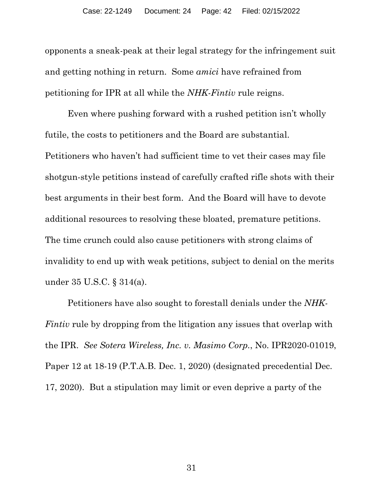opponents a sneak-peak at their legal strategy for the infringement suit and getting nothing in return. Some *amici* have refrained from petitioning for IPR at all while the *NHK-Fintiv* rule reigns.

Even where pushing forward with a rushed petition isn't wholly futile, the costs to petitioners and the Board are substantial. Petitioners who haven't had sufficient time to vet their cases may file shotgun-style petitions instead of carefully crafted rifle shots with their best arguments in their best form. And the Board will have to devote additional resources to resolving these bloated, premature petitions. The time crunch could also cause petitioners with strong claims of invalidity to end up with weak petitions, subject to denial on the merits under 35 U.S.C. § 314(a).

Petitioners have also sought to forestall denials under the *NHK-Fintiv* rule by dropping from the litigation any issues that overlap with the IPR. *See Sotera Wireless, Inc. v. Masimo Corp.*, No. IPR2020-01019, Paper 12 at 18-19 (P.T.A.B. Dec. 1, 2020) (designated precedential Dec. 17, 2020). But a stipulation may limit or even deprive a party of the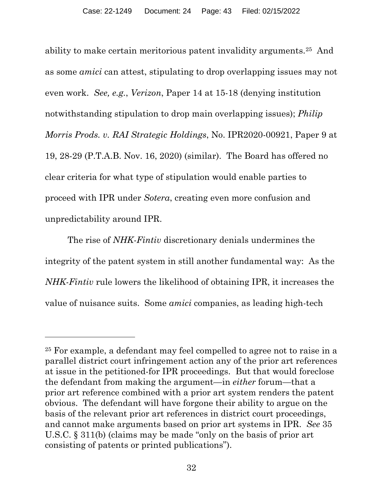ability to make certain meritorious patent invalidity arguments.[25](#page-42-0) And as some *amici* can attest, stipulating to drop overlapping issues may not even work. *See, e.g.*, *Verizon*, Paper 14 at 15-18 (denying institution notwithstanding stipulation to drop main overlapping issues); *Philip Morris Prods. v. RAI Strategic Holdings*, No. IPR2020-00921, Paper 9 at 19, 28-29 (P.T.A.B. Nov. 16, 2020) (similar). The Board has offered no clear criteria for what type of stipulation would enable parties to proceed with IPR under *Sotera*, creating even more confusion and unpredictability around IPR.

The rise of *NHK-Fintiv* discretionary denials undermines the integrity of the patent system in still another fundamental way: As the *NHK-Fintiv* rule lowers the likelihood of obtaining IPR, it increases the value of nuisance suits. Some *amici* companies, as leading high-tech

<span id="page-42-0"></span><sup>25</sup> For example, a defendant may feel compelled to agree not to raise in a parallel district court infringement action any of the prior art references at issue in the petitioned-for IPR proceedings. But that would foreclose the defendant from making the argument—in *either* forum—that a prior art reference combined with a prior art system renders the patent obvious. The defendant will have forgone their ability to argue on the basis of the relevant prior art references in district court proceedings, and cannot make arguments based on prior art systems in IPR. *See* 35 U.S.C. § 311(b) (claims may be made "only on the basis of prior art consisting of patents or printed publications").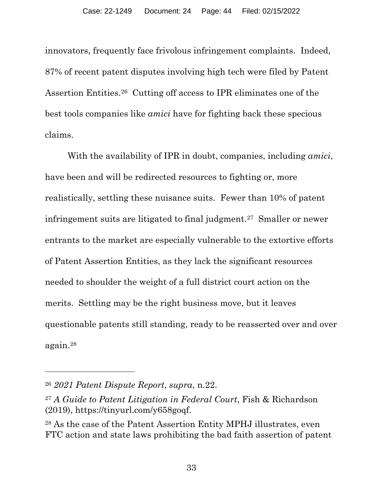innovators, frequently face frivolous infringement complaints. Indeed, 87% of recent patent disputes involving high tech were filed by Patent Assertion Entities.[26](#page-43-0) Cutting off access to IPR eliminates one of the best tools companies like *amici* have for fighting back these specious claims.

With the availability of IPR in doubt, companies, including *amici*, have been and will be redirected resources to fighting or, more realistically, settling these nuisance suits. Fewer than 10% of patent infringement suits are litigated to final judgment.[27](#page-43-1) Smaller or newer entrants to the market are especially vulnerable to the extortive efforts of Patent Assertion Entities, as they lack the significant resources needed to shoulder the weight of a full district court action on the merits. Settling may be the right business move, but it leaves questionable patents still standing, ready to be reasserted over and over again.[28](#page-43-2)

<span id="page-43-0"></span><sup>26</sup> *2021 Patent Dispute Report*, *supra*, n.22.

<span id="page-43-1"></span><sup>27</sup> *A Guide to Patent Litigation in Federal Court*, Fish & Richardson (2019), https://tinyurl.com/y658goqf.

<span id="page-43-2"></span><sup>28</sup> As the case of the Patent Assertion Entity MPHJ illustrates, even FTC action and state laws prohibiting the bad faith assertion of patent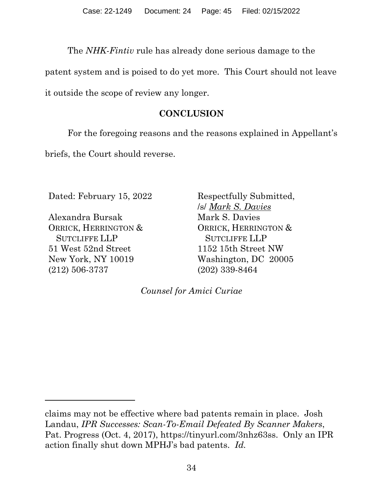The *NHK-Fintiv* rule has already done serious damage to the

patent system and is poised to do yet more. This Court should not leave

<span id="page-44-0"></span>it outside the scope of review any longer.

# **CONCLUSION**

For the foregoing reasons and the reasons explained in Appellant's briefs, the Court should reverse.

Dated: February 15, 2022 Respectfully Submitted,

Alexandra Bursak ORRICK, HERRINGTON & SUTCLIFFE LLP 51 West 52nd Street New York, NY 10019 (212) 506-3737

/s/ *Mark S. Davies* Mark S. Davies ORRICK, HERRINGTON & SUTCLIFFE LLP 1152 15th Street NW Washington, DC 20005 (202) 339-8464

*Counsel for Amici Curiae*

claims may not be effective where bad patents remain in place. Josh Landau, *IPR Successes: Scan-To-Email Defeated By Scanner Makers*, Pat. Progress (Oct. 4, 2017), https://tinyurl.com/3nhz63ss. Only an IPR action finally shut down MPHJ's bad patents. *Id.*